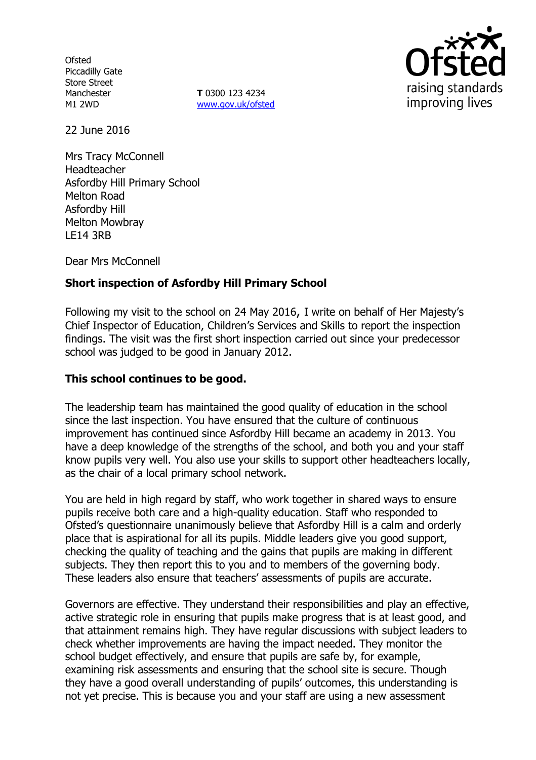**Ofsted** Piccadilly Gate Store Street **Manchester** M1 2WD

**T** 0300 123 4234 www.gov.uk/ofsted



22 June 2016

Mrs Tracy McConnell Headteacher Asfordby Hill Primary School Melton Road Asfordby Hill Melton Mowbray LE14 3RB

Dear Mrs McConnell

# **Short inspection of Asfordby Hill Primary School**

Following my visit to the school on 24 May 2016, I write on behalf of Her Majesty's Chief Inspector of Education, Children's Services and Skills to report the inspection findings. The visit was the first short inspection carried out since your predecessor school was judged to be good in January 2012.

#### **This school continues to be good.**

The leadership team has maintained the good quality of education in the school since the last inspection. You have ensured that the culture of continuous improvement has continued since Asfordby Hill became an academy in 2013. You have a deep knowledge of the strengths of the school, and both you and your staff know pupils very well. You also use your skills to support other headteachers locally, as the chair of a local primary school network.

You are held in high regard by staff, who work together in shared ways to ensure pupils receive both care and a high-quality education. Staff who responded to Ofsted's questionnaire unanimously believe that Asfordby Hill is a calm and orderly place that is aspirational for all its pupils. Middle leaders give you good support, checking the quality of teaching and the gains that pupils are making in different subjects. They then report this to you and to members of the governing body. These leaders also ensure that teachers' assessments of pupils are accurate.

Governors are effective. They understand their responsibilities and play an effective, active strategic role in ensuring that pupils make progress that is at least good, and that attainment remains high. They have regular discussions with subject leaders to check whether improvements are having the impact needed. They monitor the school budget effectively, and ensure that pupils are safe by, for example, examining risk assessments and ensuring that the school site is secure. Though they have a good overall understanding of pupils' outcomes, this understanding is not yet precise. This is because you and your staff are using a new assessment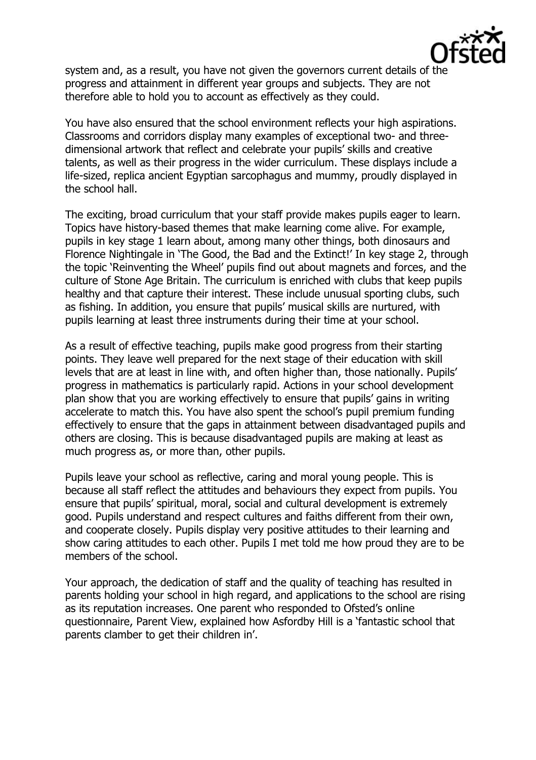

system and, as a result, you have not given the governors current details of the progress and attainment in different year groups and subjects. They are not therefore able to hold you to account as effectively as they could.

You have also ensured that the school environment reflects your high aspirations. Classrooms and corridors display many examples of exceptional two- and threedimensional artwork that reflect and celebrate your pupils' skills and creative talents, as well as their progress in the wider curriculum. These displays include a life-sized, replica ancient Egyptian sarcophagus and mummy, proudly displayed in the school hall.

The exciting, broad curriculum that your staff provide makes pupils eager to learn. Topics have history-based themes that make learning come alive. For example, pupils in key stage 1 learn about, among many other things, both dinosaurs and Florence Nightingale in 'The Good, the Bad and the Extinct!' In key stage 2, through the topic 'Reinventing the Wheel' pupils find out about magnets and forces, and the culture of Stone Age Britain. The curriculum is enriched with clubs that keep pupils healthy and that capture their interest. These include unusual sporting clubs, such as fishing. In addition, you ensure that pupils' musical skills are nurtured, with pupils learning at least three instruments during their time at your school.

As a result of effective teaching, pupils make good progress from their starting points. They leave well prepared for the next stage of their education with skill levels that are at least in line with, and often higher than, those nationally. Pupils' progress in mathematics is particularly rapid. Actions in your school development plan show that you are working effectively to ensure that pupils' gains in writing accelerate to match this. You have also spent the school's pupil premium funding effectively to ensure that the gaps in attainment between disadvantaged pupils and others are closing. This is because disadvantaged pupils are making at least as much progress as, or more than, other pupils.

Pupils leave your school as reflective, caring and moral young people. This is because all staff reflect the attitudes and behaviours they expect from pupils. You ensure that pupils' spiritual, moral, social and cultural development is extremely good. Pupils understand and respect cultures and faiths different from their own, and cooperate closely. Pupils display very positive attitudes to their learning and show caring attitudes to each other. Pupils I met told me how proud they are to be members of the school.

Your approach, the dedication of staff and the quality of teaching has resulted in parents holding your school in high regard, and applications to the school are rising as its reputation increases. One parent who responded to Ofsted's online questionnaire, Parent View, explained how Asfordby Hill is a 'fantastic school that parents clamber to get their children in'.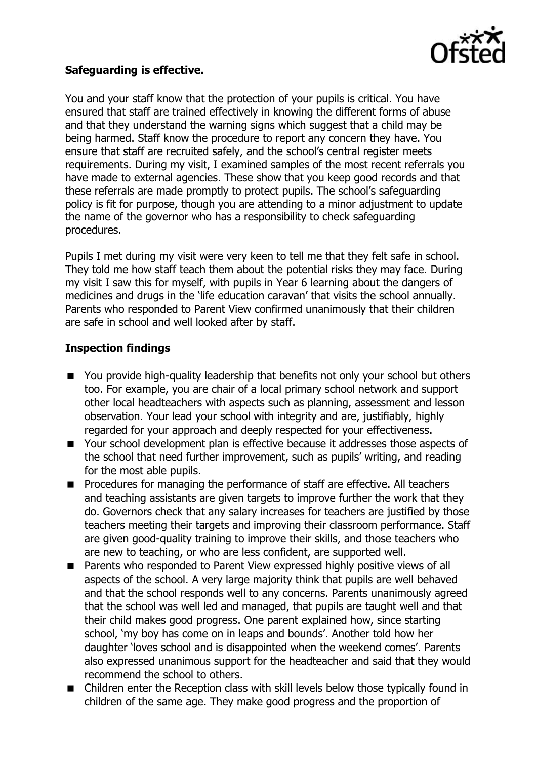

# **Safeguarding is effective.**

You and your staff know that the protection of your pupils is critical. You have ensured that staff are trained effectively in knowing the different forms of abuse and that they understand the warning signs which suggest that a child may be being harmed. Staff know the procedure to report any concern they have. You ensure that staff are recruited safely, and the school's central register meets requirements. During my visit, I examined samples of the most recent referrals you have made to external agencies. These show that you keep good records and that these referrals are made promptly to protect pupils. The school's safeguarding policy is fit for purpose, though you are attending to a minor adjustment to update the name of the governor who has a responsibility to check safeguarding procedures.

Pupils I met during my visit were very keen to tell me that they felt safe in school. They told me how staff teach them about the potential risks they may face. During my visit I saw this for myself, with pupils in Year 6 learning about the dangers of medicines and drugs in the 'life education caravan' that visits the school annually. Parents who responded to Parent View confirmed unanimously that their children are safe in school and well looked after by staff.

# **Inspection findings**

- You provide high-quality leadership that benefits not only your school but others too. For example, you are chair of a local primary school network and support other local headteachers with aspects such as planning, assessment and lesson observation. Your lead your school with integrity and are, justifiably, highly regarded for your approach and deeply respected for your effectiveness.
- Your school development plan is effective because it addresses those aspects of the school that need further improvement, such as pupils' writing, and reading for the most able pupils.
- **Procedures for managing the performance of staff are effective. All teachers** and teaching assistants are given targets to improve further the work that they do. Governors check that any salary increases for teachers are justified by those teachers meeting their targets and improving their classroom performance. Staff are given good-quality training to improve their skills, and those teachers who are new to teaching, or who are less confident, are supported well.
- **Parents who responded to Parent View expressed highly positive views of all** aspects of the school. A very large majority think that pupils are well behaved and that the school responds well to any concerns. Parents unanimously agreed that the school was well led and managed, that pupils are taught well and that their child makes good progress. One parent explained how, since starting school, 'my boy has come on in leaps and bounds'. Another told how her daughter 'loves school and is disappointed when the weekend comes'. Parents also expressed unanimous support for the headteacher and said that they would recommend the school to others.
- Children enter the Reception class with skill levels below those typically found in children of the same age. They make good progress and the proportion of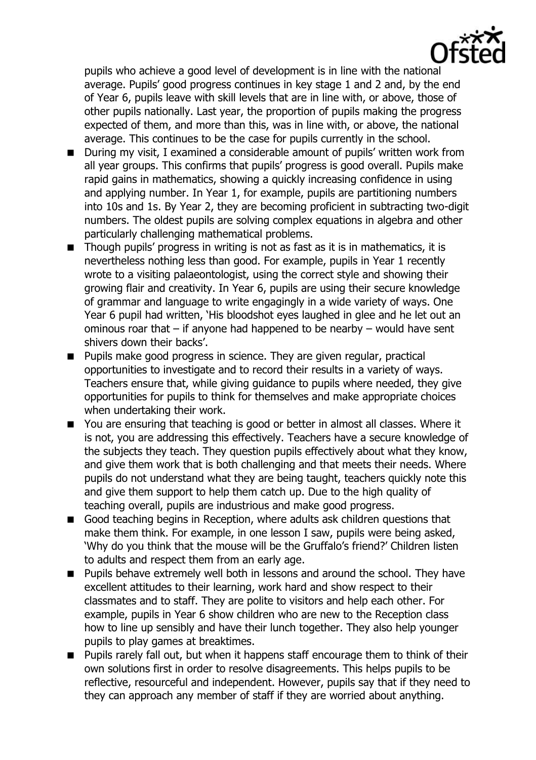

pupils who achieve a good level of development is in line with the national average. Pupils' good progress continues in key stage 1 and 2 and, by the end of Year 6, pupils leave with skill levels that are in line with, or above, those of other pupils nationally. Last year, the proportion of pupils making the progress expected of them, and more than this, was in line with, or above, the national average. This continues to be the case for pupils currently in the school.

- During my visit, I examined a considerable amount of pupils' written work from all year groups. This confirms that pupils' progress is good overall. Pupils make rapid gains in mathematics, showing a quickly increasing confidence in using and applying number. In Year 1, for example, pupils are partitioning numbers into 10s and 1s. By Year 2, they are becoming proficient in subtracting two-digit numbers. The oldest pupils are solving complex equations in algebra and other particularly challenging mathematical problems.
- Though pupils' progress in writing is not as fast as it is in mathematics, it is nevertheless nothing less than good. For example, pupils in Year 1 recently wrote to a visiting palaeontologist, using the correct style and showing their growing flair and creativity. In Year 6, pupils are using their secure knowledge of grammar and language to write engagingly in a wide variety of ways. One Year 6 pupil had written, 'His bloodshot eyes laughed in glee and he let out an ominous roar that – if anyone had happened to be nearby – would have sent shivers down their backs'.
- **Pupils make good progress in science. They are given regular, practical** opportunities to investigate and to record their results in a variety of ways. Teachers ensure that, while giving guidance to pupils where needed, they give opportunities for pupils to think for themselves and make appropriate choices when undertaking their work.
- You are ensuring that teaching is good or better in almost all classes. Where it is not, you are addressing this effectively. Teachers have a secure knowledge of the subjects they teach. They question pupils effectively about what they know, and give them work that is both challenging and that meets their needs. Where pupils do not understand what they are being taught, teachers quickly note this and give them support to help them catch up. Due to the high quality of teaching overall, pupils are industrious and make good progress.
- Good teaching begins in Reception, where adults ask children questions that make them think. For example, in one lesson I saw, pupils were being asked, 'Why do you think that the mouse will be the Gruffalo's friend?' Children listen to adults and respect them from an early age.
- **Pupils behave extremely well both in lessons and around the school. They have** excellent attitudes to their learning, work hard and show respect to their classmates and to staff. They are polite to visitors and help each other. For example, pupils in Year 6 show children who are new to the Reception class how to line up sensibly and have their lunch together. They also help younger pupils to play games at breaktimes.
- **Pupils rarely fall out, but when it happens staff encourage them to think of their** own solutions first in order to resolve disagreements. This helps pupils to be reflective, resourceful and independent. However, pupils say that if they need to they can approach any member of staff if they are worried about anything.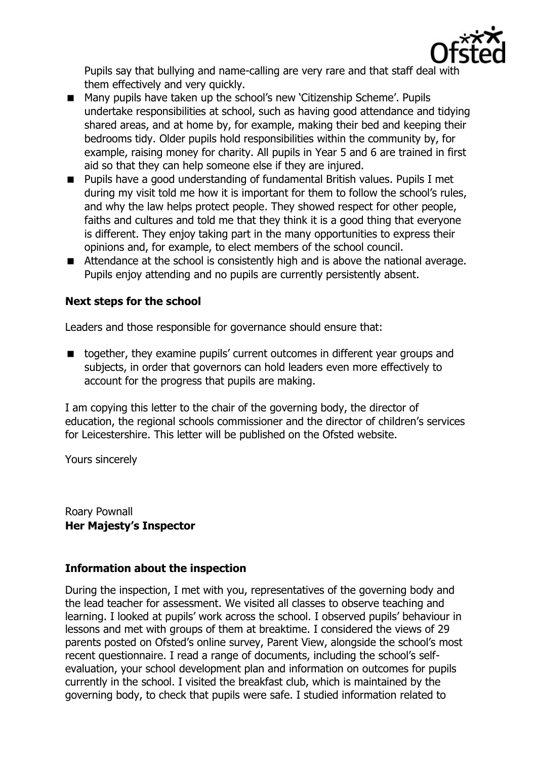

Pupils say that bullying and name-calling are very rare and that staff deal with them effectively and very quickly.

- Many pupils have taken up the school's new 'Citizenship Scheme'. Pupils undertake responsibilities at school, such as having good attendance and tidying shared areas, and at home by, for example, making their bed and keeping their bedrooms tidy. Older pupils hold responsibilities within the community by, for example, raising money for charity. All pupils in Year 5 and 6 are trained in first aid so that they can help someone else if they are injured.
- Pupils have a good understanding of fundamental British values. Pupils I met during my visit told me how it is important for them to follow the school's rules, and why the law helps protect people. They showed respect for other people, faiths and cultures and told me that they think it is a good thing that everyone is different. They enjoy taking part in the many opportunities to express their opinions and, for example, to elect members of the school council.
- Attendance at the school is consistently high and is above the national average. Pupils enjoy attending and no pupils are currently persistently absent.

#### **Next steps for the school**

Leaders and those responsible for governance should ensure that:

■ together, they examine pupils' current outcomes in different year groups and subjects, in order that governors can hold leaders even more effectively to account for the progress that pupils are making.

I am copying this letter to the chair of the governing body, the director of education, the regional schools commissioner and the director of children's services for Leicestershire. This letter will be published on the Ofsted website.

Yours sincerely

Roary Pownall **Her Majesty's Inspector** 

# **Information about the inspection**

During the inspection, I met with you, representatives of the governing body and the lead teacher for assessment. We visited all classes to observe teaching and learning. I looked at pupils' work across the school. I observed pupils' behaviour in lessons and met with groups of them at breaktime. I considered the views of 29 parents posted on Ofsted's online survey, Parent View, alongside the school's most recent questionnaire. I read a range of documents, including the school's selfevaluation, your school development plan and information on outcomes for pupils currently in the school. I visited the breakfast club, which is maintained by the governing body, to check that pupils were safe. I studied information related to